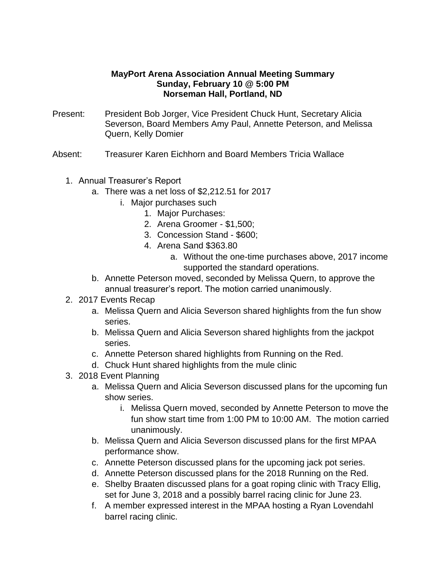## **MayPort Arena Association Annual Meeting Summary Sunday, February 10 @ 5:00 PM Norseman Hall, Portland, ND**

- Present: President Bob Jorger, Vice President Chuck Hunt, Secretary Alicia Severson, Board Members Amy Paul, Annette Peterson, and Melissa Quern, Kelly Domier
- Absent: Treasurer Karen Eichhorn and Board Members Tricia Wallace
	- 1. Annual Treasurer's Report
		- a. There was a net loss of \$2,212.51 for 2017
			- i. Major purchases such
				- 1. Major Purchases:
				- 2. Arena Groomer \$1,500;
				- 3. Concession Stand \$600;
				- 4. Arena Sand \$363.80
					- a. Without the one-time purchases above, 2017 income supported the standard operations.
		- b. Annette Peterson moved, seconded by Melissa Quern, to approve the annual treasurer's report. The motion carried unanimously.
	- 2. 2017 Events Recap
		- a. Melissa Quern and Alicia Severson shared highlights from the fun show series.
		- b. Melissa Quern and Alicia Severson shared highlights from the jackpot series.
		- c. Annette Peterson shared highlights from Running on the Red.
		- d. Chuck Hunt shared highlights from the mule clinic
	- 3. 2018 Event Planning
		- a. Melissa Quern and Alicia Severson discussed plans for the upcoming fun show series.
			- i. Melissa Quern moved, seconded by Annette Peterson to move the fun show start time from 1:00 PM to 10:00 AM. The motion carried unanimously.
		- b. Melissa Quern and Alicia Severson discussed plans for the first MPAA performance show.
		- c. Annette Peterson discussed plans for the upcoming jack pot series.
		- d. Annette Peterson discussed plans for the 2018 Running on the Red.
		- e. Shelby Braaten discussed plans for a goat roping clinic with Tracy Ellig, set for June 3, 2018 and a possibly barrel racing clinic for June 23.
		- f. A member expressed interest in the MPAA hosting a Ryan Lovendahl barrel racing clinic.